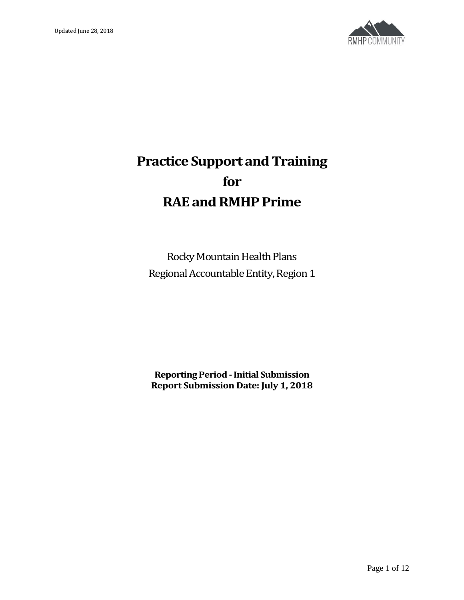

# **Practice Support and Training for RAE and RMHP Prime**

Rocky Mountain Health Plans Regional Accountable Entity, Region 1

**Reporting Period -Initial Submission Report Submission Date: July 1, 2018**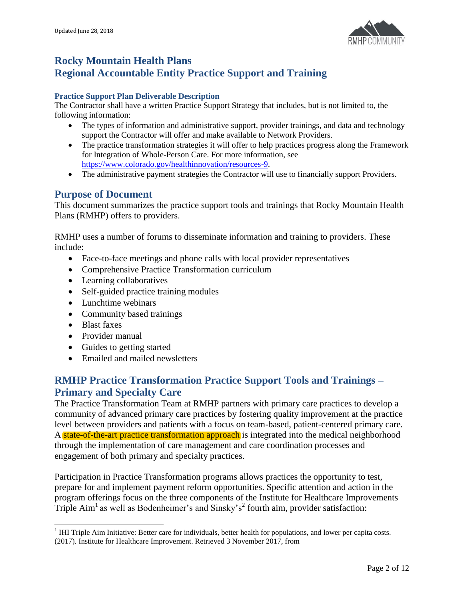

# **Rocky Mountain Health Plans Regional Accountable Entity Practice Support and Training**

## **Practice Support Plan Deliverable Description**

The Contractor shall have a written Practice Support Strategy that includes, but is not limited to, the following information:

- The types of information and administrative support, provider trainings, and data and technology support the Contractor will offer and make available to Network Providers.
- The practice transformation strategies it will offer to help practices progress along the Framework for Integration of Whole-Person Care. For more information, see [https://www.colorado.gov/healthinnovation/resources-9.](https://www.colorado.gov/healthinnovation/resources-9)
- The administrative payment strategies the Contractor will use to financially support Providers.

# **Purpose of Document**

This document summarizes the practice support tools and trainings that Rocky Mountain Health Plans (RMHP) offers to providers.

RMHP uses a number of forums to disseminate information and training to providers. These include:

- Face-to-face meetings and phone calls with local provider representatives
- Comprehensive Practice Transformation curriculum
- Learning collaboratives
- Self-guided practice training modules
- Lunchtime webinars
- Community based trainings
- Blast faxes

l

- Provider manual
- Guides to getting started
- Emailed and mailed newsletters

# **RMHP Practice Transformation Practice Support Tools and Trainings – Primary and Specialty Care**

The Practice Transformation Team at RMHP partners with primary care practices to develop a community of advanced primary care practices by fostering quality improvement at the practice level between providers and patients with a focus on team-based, patient-centered primary care. A state-of-the-art practice transformation approach is integrated into the medical neighborhood through the implementation of care management and care coordination processes and engagement of both primary and specialty practices.

Participation in Practice Transformation programs allows practices the opportunity to test, prepare for and implement payment reform opportunities. Specific attention and action in the program offerings focus on the three components of the Institute for Healthcare Improvements Triple  $\text{Aim}^1$  as well as Bodenheimer's and Sinsky's<sup>2</sup> fourth aim, provider satisfaction:

 $<sup>1</sup>$  IHI Triple Aim Initiative: Better care for individuals, better health for populations, and lower per capita costs.</sup> (2017). Institute for Healthcare Improvement. Retrieved 3 November 2017, from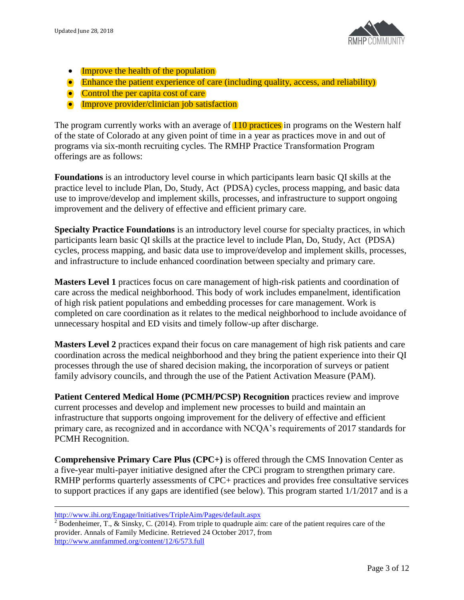

- Improve the health of the population
- Enhance the patient experience of care (including quality, access, and reliability)
- Control the per capita cost of care
- **Improve provider/clinician job satisfaction**

The program currently works with an average of **110 practices** in programs on the Western half of the state of Colorado at any given point of time in a year as practices move in and out of programs via six-month recruiting cycles. The RMHP Practice Transformation Program offerings are as follows:

**Foundations** is an introductory level course in which participants learn basic QI skills at the practice level to include Plan, Do, Study, Act (PDSA) cycles, process mapping, and basic data use to improve/develop and implement skills, processes, and infrastructure to support ongoing improvement and the delivery of effective and efficient primary care.

**Specialty Practice Foundations** is an introductory level course for specialty practices, in which participants learn basic QI skills at the practice level to include Plan, Do, Study, Act (PDSA) cycles, process mapping, and basic data use to improve/develop and implement skills, processes, and infrastructure to include enhanced coordination between specialty and primary care.

**Masters Level 1** practices focus on care management of high-risk patients and coordination of care across the medical neighborhood. This body of work includes empanelment, identification of high risk patient populations and embedding processes for care management. Work is completed on care coordination as it relates to the medical neighborhood to include avoidance of unnecessary hospital and ED visits and timely follow-up after discharge.

**Masters Level 2** practices expand their focus on care management of high risk patients and care coordination across the medical neighborhood and they bring the patient experience into their QI processes through the use of shared decision making, the incorporation of surveys or patient family advisory councils, and through the use of the Patient Activation Measure (PAM).

**Patient Centered Medical Home (PCMH/PCSP) Recognition** practices review and improve current processes and develop and implement new processes to build and maintain an infrastructure that supports ongoing improvement for the delivery of effective and efficient primary care, as recognized and in accordance with NCQA's requirements of 2017 standards for PCMH Recognition.

**Comprehensive Primary Care Plus (CPC+)** is offered through the CMS Innovation Center as a five-year multi-payer initiative designed after the CPCi program to strengthen primary care. RMHP performs quarterly assessments of CPC+ practices and provides free consultative services to support practices if any gaps are identified (see below). This program started 1/1/2017 and is a

 $\overline{\phantom{a}}$ 

<http://www.ihi.org/Engage/Initiatives/TripleAim/Pages/default.aspx>

<sup>&</sup>lt;sup>2</sup> Bodenheimer, T., & Sinsky, C. (2014). From triple to quadruple aim: care of the patient requires care of the provider. Annals of Family Medicine. Retrieved 24 October 2017, from <http://www.annfammed.org/content/12/6/573.full>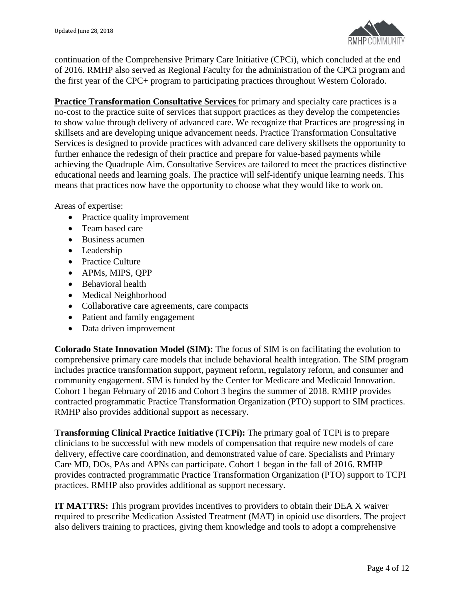

continuation of the Comprehensive Primary Care Initiative (CPCi), which concluded at the end of 2016. RMHP also served as Regional Faculty for the administration of the CPCi program and the first year of the CPC+ program to participating practices throughout Western Colorado.

**Practice Transformation Consultative Services** for primary and specialty care practices is a no-cost to the practice suite of services that support practices as they develop the competencies to show value through delivery of advanced care. We recognize that Practices are progressing in skillsets and are developing unique advancement needs. Practice Transformation Consultative Services is designed to provide practices with advanced care delivery skillsets the opportunity to further enhance the redesign of their practice and prepare for value-based payments while achieving the Quadruple Aim. Consultative Services are tailored to meet the practices distinctive educational needs and learning goals. The practice will self-identify unique learning needs. This means that practices now have the opportunity to choose what they would like to work on.

Areas of expertise:

- Practice quality improvement
- Team based care
- Business acumen
- Leadership
- Practice Culture
- APMs, MIPS, QPP
- Behavioral health
- Medical Neighborhood
- Collaborative care agreements, care compacts
- Patient and family engagement
- Data driven improvement

**Colorado State Innovation Model (SIM):** The focus of SIM is on facilitating the evolution to comprehensive primary care models that include behavioral health integration. The SIM program includes practice transformation support, payment reform, regulatory reform, and consumer and community engagement. SIM is funded by the Center for Medicare and Medicaid Innovation. Cohort 1 began February of 2016 and Cohort 3 begins the summer of 2018. RMHP provides contracted programmatic Practice Transformation Organization (PTO) support to SIM practices. RMHP also provides additional support as necessary.

**Transforming Clinical Practice Initiative (TCPi):** The primary goal of TCPi is to prepare clinicians to be successful with new models of compensation that require new models of care delivery, effective care coordination, and demonstrated value of care. Specialists and Primary Care MD, DOs, PAs and APNs can participate. Cohort 1 began in the fall of 2016. RMHP provides contracted programmatic Practice Transformation Organization (PTO) support to TCPI practices. RMHP also provides additional as support necessary.

**IT MATTRS:** This program provides incentives to providers to obtain their DEA X waiver required to prescribe Medication Assisted Treatment (MAT) in opioid use disorders. The project also delivers training to practices, giving them knowledge and tools to adopt a comprehensive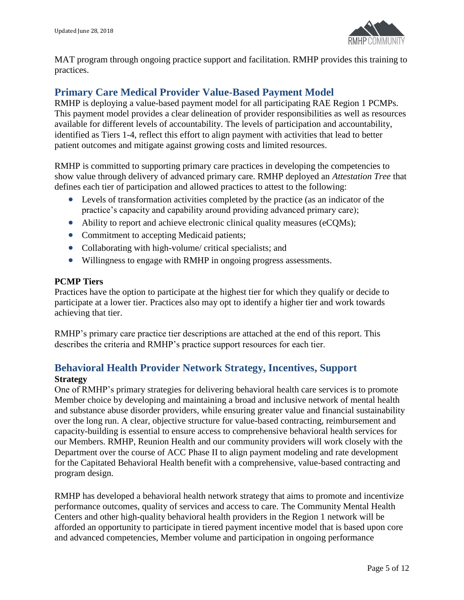

MAT program through ongoing practice support and facilitation. RMHP provides this training to practices.

# **Primary Care Medical Provider Value-Based Payment Model**

RMHP is deploying a value-based payment model for all participating RAE Region 1 PCMPs. This payment model provides a clear delineation of provider responsibilities as well as resources available for different levels of accountability. The levels of participation and accountability, identified as Tiers 1-4, reflect this effort to align payment with activities that lead to better patient outcomes and mitigate against growing costs and limited resources.

RMHP is committed to supporting primary care practices in developing the competencies to show value through delivery of advanced primary care. RMHP deployed an *Attestation Tree* that defines each tier of participation and allowed practices to attest to the following:

- Levels of transformation activities completed by the practice (as an indicator of the practice's capacity and capability around providing advanced primary care);
- Ability to report and achieve electronic clinical quality measures (eCQMs);
- Commitment to accepting Medicaid patients;
- Collaborating with high-volume/ critical specialists; and
- Willingness to engage with RMHP in ongoing progress assessments.

## **PCMP Tiers**

Practices have the option to participate at the highest tier for which they qualify or decide to participate at a lower tier. Practices also may opt to identify a higher tier and work towards achieving that tier.

RMHP's primary care practice tier descriptions are attached at the end of this report. This describes the criteria and RMHP's practice support resources for each tier.

# **Behavioral Health Provider Network Strategy, Incentives, Support Strategy**

One of RMHP's primary strategies for delivering behavioral health care services is to promote Member choice by developing and maintaining a broad and inclusive network of mental health and substance abuse disorder providers, while ensuring greater value and financial sustainability over the long run. A clear, objective structure for value-based contracting, reimbursement and capacity-building is essential to ensure access to comprehensive behavioral health services for our Members. RMHP, Reunion Health and our community providers will work closely with the Department over the course of ACC Phase II to align payment modeling and rate development for the Capitated Behavioral Health benefit with a comprehensive, value-based contracting and program design.

RMHP has developed a behavioral health network strategy that aims to promote and incentivize performance outcomes, quality of services and access to care. The Community Mental Health Centers and other high-quality behavioral health providers in the Region 1 network will be afforded an opportunity to participate in tiered payment incentive model that is based upon core and advanced competencies, Member volume and participation in ongoing performance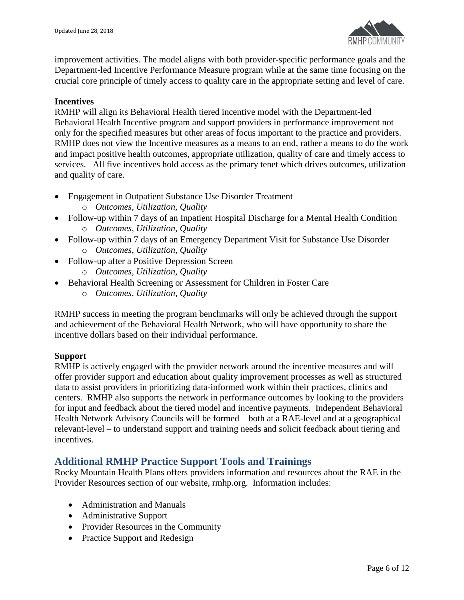

improvement activities. The model aligns with both provider-specific performance goals and the Department-led Incentive Performance Measure program while at the same time focusing on the crucial core principle of timely access to quality care in the appropriate setting and level of care.

## **Incentives**

RMHP will align its Behavioral Health tiered incentive model with the Department-led Behavioral Health Incentive program and support providers in performance improvement not only for the specified measures but other areas of focus important to the practice and providers. RMHP does not view the Incentive measures as a means to an end, rather a means to do the work and impact positive health outcomes, appropriate utilization, quality of care and timely access to services. All five incentives hold access as the primary tenet which drives outcomes, utilization and quality of care.

- Engagement in Outpatient Substance Use Disorder Treatment o *Outcomes, Utilization, Quality*
- Follow-up within 7 days of an Inpatient Hospital Discharge for a Mental Health Condition o *Outcomes, Utilization, Quality*
- Follow-up within 7 days of an Emergency Department Visit for Substance Use Disorder o *Outcomes, Utilization, Quality*
- Follow-up after a Positive Depression Screen o *Outcomes, Utilization, Quality*
- Behavioral Health Screening or Assessment for Children in Foster Care
	- o *Outcomes, Utilization*, *Quality*

RMHP success in meeting the program benchmarks will only be achieved through the support and achievement of the Behavioral Health Network, who will have opportunity to share the incentive dollars based on their individual performance.

## **Support**

RMHP is actively engaged with the provider network around the incentive measures and will offer provider support and education about quality improvement processes as well as structured data to assist providers in prioritizing data-informed work within their practices, clinics and centers. RMHP also supports the network in performance outcomes by looking to the providers for input and feedback about the tiered model and incentive payments. Independent Behavioral Health Network Advisory Councils will be formed – both at a RAE-level and at a geographical relevant-level – to understand support and training needs and solicit feedback about tiering and incentives.

# **Additional RMHP Practice Support Tools and Trainings**

Rocky Mountain Health Plans offers providers information and resources about the RAE in the Provider Resources section of our website, rmhp.org. Information includes:

- Administration and Manuals
- Administrative Support
- Provider Resources in the Community
- Practice Support and Redesign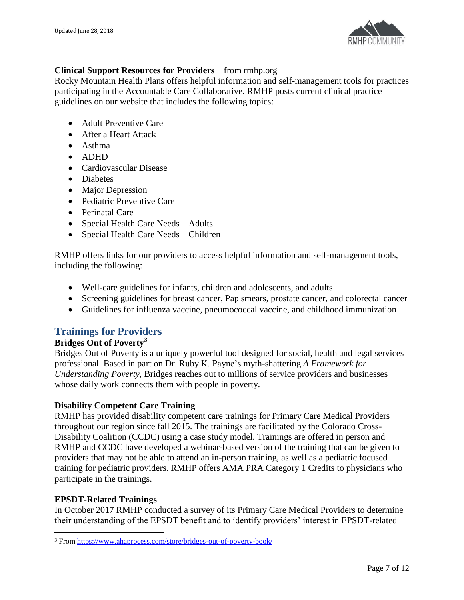

## **Clinical Support Resources for Providers** – from rmhp.org

Rocky Mountain Health Plans offers helpful information and self-management tools for practices participating in the Accountable Care Collaborative. RMHP posts current clinical practice guidelines on our website that includes the following topics:

- Adult Preventive Care
- After a Heart Attack
- Asthma
- ADHD
- Cardiovascular Disease
- Diabetes
- Major Depression
- Pediatric Preventive Care
- Perinatal Care
- Special Health Care Needs Adults
- Special Health Care Needs Children

RMHP offers links for our providers to access helpful information and self-management tools, including the following:

- Well-care guidelines for infants, children and adolescents, and adults
- Screening guidelines for breast cancer, Pap smears, prostate cancer, and colorectal cancer
- Guidelines for influenza vaccine, pneumococcal vaccine, and childhood immunization

# **Trainings for Providers**

## **Bridges Out of Poverty<sup>3</sup>**

Bridges Out of Poverty is a uniquely powerful tool designed for social, health and legal services professional. Based in part on Dr. Ruby K. Payne's myth-shattering *A Framework for Understanding Poverty*, Bridges reaches out to millions of service providers and businesses whose daily work connects them with people in poverty.

## **Disability Competent Care Training**

RMHP has provided disability competent care trainings for Primary Care Medical Providers throughout our region since fall 2015. The trainings are facilitated by the Colorado Cross-Disability Coalition (CCDC) using a case study model. Trainings are offered in person and RMHP and CCDC have developed a webinar-based version of the training that can be given to providers that may not be able to attend an in-person training, as well as a pediatric focused training for pediatric providers. RMHP offers AMA PRA Category 1 Credits to physicians who participate in the trainings.

## **EPSDT-Related Trainings**

l

In October 2017 RMHP conducted a survey of its Primary Care Medical Providers to determine their understanding of the EPSDT benefit and to identify providers' interest in EPSDT-related

<sup>3</sup> From<https://www.ahaprocess.com/store/bridges-out-of-poverty-book/>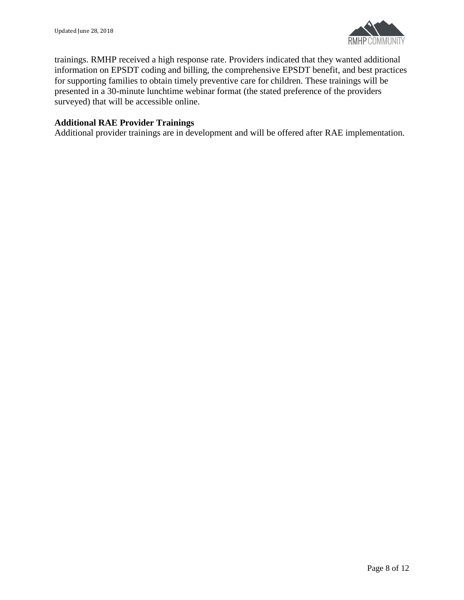

trainings. RMHP received a high response rate. Providers indicated that they wanted additional information on EPSDT coding and billing, the comprehensive EPSDT benefit, and best practices for supporting families to obtain timely preventive care for children. These trainings will be presented in a 30-minute lunchtime webinar format (the stated preference of the providers surveyed) that will be accessible online.

## **Additional RAE Provider Trainings**

Additional provider trainings are in development and will be offered after RAE implementation.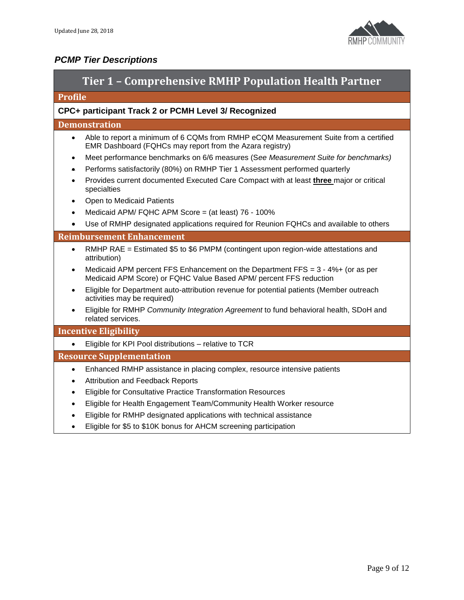

# *PCMP Tier Descriptions*

| Tier 1 - Comprehensive RMHP Population Health Partner                                                                                                         |  |  |  |
|---------------------------------------------------------------------------------------------------------------------------------------------------------------|--|--|--|
| <b>Profile</b>                                                                                                                                                |  |  |  |
| CPC+ participant Track 2 or PCMH Level 3/ Recognized                                                                                                          |  |  |  |
| <b>Demonstration</b>                                                                                                                                          |  |  |  |
| Able to report a minimum of 6 CQMs from RMHP eCQM Measurement Suite from a certified<br>$\bullet$<br>EMR Dashboard (FQHCs may report from the Azara registry) |  |  |  |
| Meet performance benchmarks on 6/6 measures (See Measurement Suite for benchmarks)<br>$\bullet$                                                               |  |  |  |
| Performs satisfactorily (80%) on RMHP Tier 1 Assessment performed quarterly<br>$\bullet$                                                                      |  |  |  |
| Provides current documented Executed Care Compact with at least <i>three</i> major or critical<br>$\bullet$<br>specialties                                    |  |  |  |
| Open to Medicaid Patients                                                                                                                                     |  |  |  |
| Medicaid APM/ FQHC APM Score = (at least) 76 - 100%                                                                                                           |  |  |  |
| Use of RMHP designated applications required for Reunion FQHCs and available to others<br>$\bullet$                                                           |  |  |  |
| <b>Reimbursement Enhancement</b>                                                                                                                              |  |  |  |
| RMHP RAE = Estimated \$5 to \$6 PMPM (contingent upon region-wide attestations and<br>$\bullet$<br>attribution)                                               |  |  |  |
| Medicaid APM percent FFS Enhancement on the Department FFS = $3 - 4\% +$ (or as per<br>Medicaid APM Score) or FQHC Value Based APM/ percent FFS reduction     |  |  |  |
| Eligible for Department auto-attribution revenue for potential patients (Member outreach<br>activities may be required)                                       |  |  |  |
| Eligible for RMHP Community Integration Agreement to fund behavioral health, SDoH and<br>related services.                                                    |  |  |  |
| <b>Incentive Eligibility</b>                                                                                                                                  |  |  |  |
| Eligible for KPI Pool distributions - relative to TCR<br>$\bullet$                                                                                            |  |  |  |
| <b>Resource Supplementation</b>                                                                                                                               |  |  |  |
| Enhanced RMHP assistance in placing complex, resource intensive patients<br>$\bullet$                                                                         |  |  |  |
| <b>Attribution and Feedback Reports</b><br>$\bullet$                                                                                                          |  |  |  |
| Eligible for Consultative Practice Transformation Resources<br>$\bullet$                                                                                      |  |  |  |
| Eligible for Health Engagement Team/Community Health Worker resource                                                                                          |  |  |  |
| Eligible for RMHP designated applications with technical assistance                                                                                           |  |  |  |
| Eligible for \$5 to \$10K bonus for AHCM screening participation                                                                                              |  |  |  |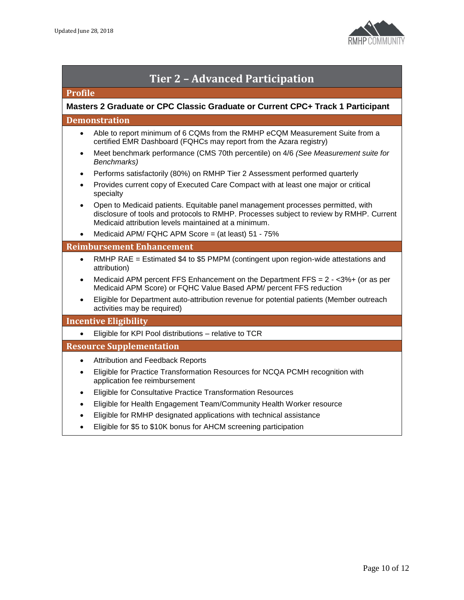

| <b>Tier 2 - Advanced Participation</b>                                         |                                                                                                                                                                                                                                    |  |
|--------------------------------------------------------------------------------|------------------------------------------------------------------------------------------------------------------------------------------------------------------------------------------------------------------------------------|--|
| <b>Profile</b>                                                                 |                                                                                                                                                                                                                                    |  |
| Masters 2 Graduate or CPC Classic Graduate or Current CPC+ Track 1 Participant |                                                                                                                                                                                                                                    |  |
| <b>Demonstration</b>                                                           |                                                                                                                                                                                                                                    |  |
| $\bullet$                                                                      | Able to report minimum of 6 CQMs from the RMHP eCQM Measurement Suite from a<br>certified EMR Dashboard (FQHCs may report from the Azara registry)                                                                                 |  |
| $\bullet$                                                                      | Meet benchmark performance (CMS 70th percentile) on 4/6 (See Measurement suite for<br>Benchmarks)                                                                                                                                  |  |
| $\bullet$                                                                      | Performs satisfactorily (80%) on RMHP Tier 2 Assessment performed quarterly                                                                                                                                                        |  |
| $\bullet$                                                                      | Provides current copy of Executed Care Compact with at least one major or critical<br>specialty                                                                                                                                    |  |
| $\bullet$                                                                      | Open to Medicaid patients. Equitable panel management processes permitted, with<br>disclosure of tools and protocols to RMHP. Processes subject to review by RMHP. Current<br>Medicaid attribution levels maintained at a minimum. |  |
| $\bullet$                                                                      | Medicaid APM/ FQHC APM Score = (at least) 51 - 75%                                                                                                                                                                                 |  |
|                                                                                | <b>Reimbursement Enhancement</b>                                                                                                                                                                                                   |  |
| $\bullet$                                                                      | RMHP RAE = Estimated \$4 to \$5 PMPM (contingent upon region-wide attestations and<br>attribution)                                                                                                                                 |  |
| $\bullet$                                                                      | Medicaid APM percent FFS Enhancement on the Department FFS = $2 - 3\% +$ (or as per<br>Medicaid APM Score) or FQHC Value Based APM/ percent FFS reduction                                                                          |  |
| $\bullet$                                                                      | Eligible for Department auto-attribution revenue for potential patients (Member outreach<br>activities may be required)                                                                                                            |  |
|                                                                                | <b>Incentive Eligibility</b>                                                                                                                                                                                                       |  |
| $\bullet$                                                                      | Eligible for KPI Pool distributions - relative to TCR                                                                                                                                                                              |  |
|                                                                                | <b>Resource Supplementation</b>                                                                                                                                                                                                    |  |
| $\bullet$                                                                      | <b>Attribution and Feedback Reports</b>                                                                                                                                                                                            |  |
| $\bullet$                                                                      | Eligible for Practice Transformation Resources for NCQA PCMH recognition with<br>application fee reimbursement                                                                                                                     |  |
| $\bullet$                                                                      | Eligible for Consultative Practice Transformation Resources                                                                                                                                                                        |  |
| $\bullet$                                                                      | Eligible for Health Engagement Team/Community Health Worker resource                                                                                                                                                               |  |
|                                                                                | Eligible for RMHP designated applications with technical assistance                                                                                                                                                                |  |
| $\bullet$                                                                      | Eligible for \$5 to \$10K bonus for AHCM screening participation                                                                                                                                                                   |  |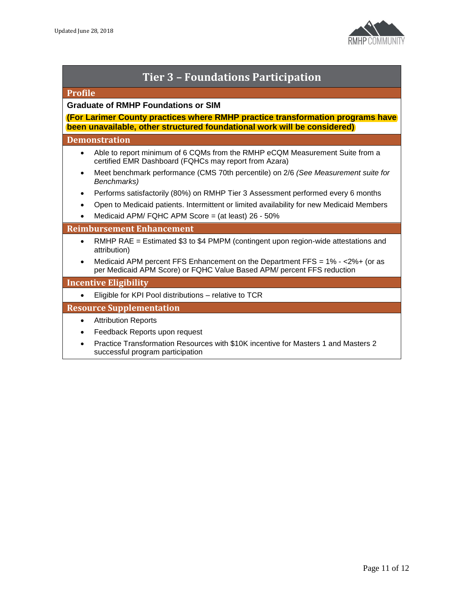

| <b>Tier 3 - Foundations Participation</b>                                                                                                                  |  |  |
|------------------------------------------------------------------------------------------------------------------------------------------------------------|--|--|
| <b>Profile</b>                                                                                                                                             |  |  |
| <b>Graduate of RMHP Foundations or SIM</b>                                                                                                                 |  |  |
| (For Larimer County practices where RMHP practice transformation programs have<br>been unavailable, other structured foundational work will be considered) |  |  |
| <b>Demonstration</b>                                                                                                                                       |  |  |
| Able to report minimum of 6 CQMs from the RMHP eCQM Measurement Suite from a<br>certified EMR Dashboard (FQHCs may report from Azara)                      |  |  |
| Meet benchmark performance (CMS 70th percentile) on 2/6 (See Measurement suite for<br>$\bullet$<br>Benchmarks)                                             |  |  |
| Performs satisfactorily (80%) on RMHP Tier 3 Assessment performed every 6 months<br>$\bullet$                                                              |  |  |
| Open to Medicaid patients. Intermittent or limited availability for new Medicaid Members                                                                   |  |  |
| Medicaid APM/ FQHC APM Score = (at least) 26 - 50%                                                                                                         |  |  |
| <b>Reimbursement Enhancement</b>                                                                                                                           |  |  |
| RMHP RAE = Estimated \$3 to \$4 PMPM (contingent upon region-wide attestations and<br>$\bullet$<br>attribution)                                            |  |  |
| Medicaid APM percent FFS Enhancement on the Department FFS = $1\% - 2\% + (or asper Medicaid APM Score) or FQHC Value Based APM/ percent FFS reduction$    |  |  |
| <b>Incentive Eligibility</b>                                                                                                                               |  |  |
| Eligible for KPI Pool distributions - relative to TCR                                                                                                      |  |  |
| <b>Resource Supplementation</b>                                                                                                                            |  |  |
| <b>Attribution Reports</b>                                                                                                                                 |  |  |
| Feedback Reports upon request<br>٠                                                                                                                         |  |  |

 Practice Transformation Resources with \$10K incentive for Masters 1 and Masters 2 successful program participation